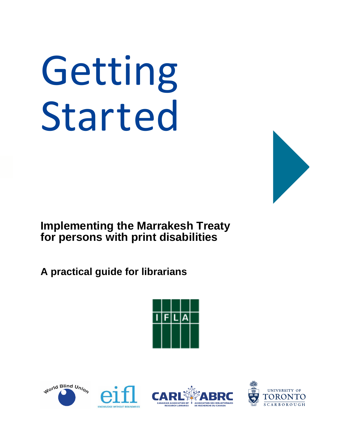# Getting Started



**Implementing the Marrakesh Treaty for persons with print disabilities**

**A practical guide for librarians**



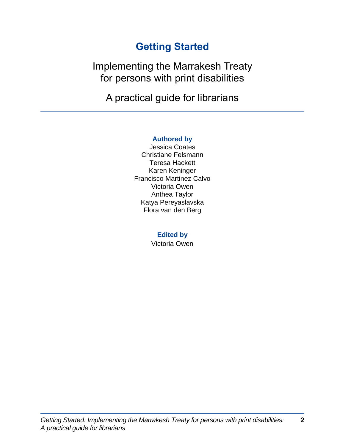# **Getting Started**

Implementing the Marrakesh Treaty for persons with print disabilities

A practical guide for librarians

# **Authored by**

Jessica Coates Christiane Felsmann Teresa Hackett Karen Keninger Francisco Martinez Calvo Victoria Owen Anthea Taylor Katya Pereyaslavska Flora van den Berg

# **Edited by**

Victoria Owen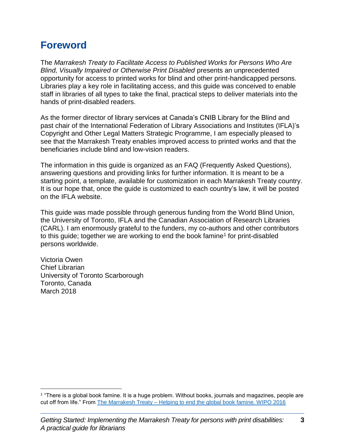# **Foreword**

The *Marrakesh Treaty to Facilitate Access to Published Works for Persons Who Are Blind, Visually Impaired or Otherwise Print Disabled* presents an unprecedented opportunity for access to printed works for blind and other print-handicapped persons. Libraries play a key role in facilitating access, and this guide was conceived to enable staff in libraries of all types to take the final, practical steps to deliver materials into the hands of print-disabled readers.

As the former director of library services at Canada's CNIB Library for the Blind and past chair of the International Federation of Library Associations and Institutes (IFLA)'s Copyright and Other Legal Matters Strategic Programme, I am especially pleased to see that the Marrakesh Treaty enables improved access to printed works and that the beneficiaries include blind and low-vision readers.

The information in this guide is organized as an FAQ (Frequently Asked Questions), answering questions and providing links for further information. It is meant to be a starting point, a template, available for customization in each Marrakesh Treaty country. It is our hope that, once the guide is customized to each country's law, it will be posted on the IFLA website.

This guide was made possible through generous funding from the World Blind Union, the University of Toronto, IFLA and the Canadian Association of Research Libraries (CARL). I am enormously grateful to the funders, my co-authors and other contributors to this guide; together we are working to end the book famine<sup>1</sup> for print-disabled persons worldwide.

Victoria Owen Chief Librarian University of Toronto Scarborough Toronto, Canada March 2018

<sup>1</sup> "There is a global book famine. It is a huge problem. Without books, journals and magazines, people are cut off from life." From The Marrakesh Treaty – [Helping to end the global book famine. WIPO 2016](http://www.wipo.int/edocs/pubdocs/en/wipo_pub_marrakesh_overview.pdf)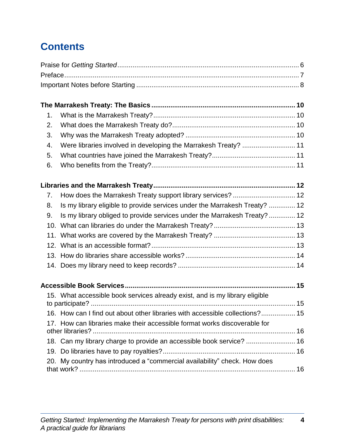# **Contents**

| 1.  |                                                                              |  |
|-----|------------------------------------------------------------------------------|--|
| 2.  |                                                                              |  |
| 3.  |                                                                              |  |
| 4.  | Were libraries involved in developing the Marrakesh Treaty?  11              |  |
| 5.  |                                                                              |  |
| 6.  |                                                                              |  |
|     |                                                                              |  |
| 7.  | How does the Marrakesh Treaty support library services?  12                  |  |
| 8.  | Is my library eligible to provide services under the Marrakesh Treaty?  12   |  |
| 9.  | Is my library obliged to provide services under the Marrakesh Treaty?  12    |  |
| 10. |                                                                              |  |
|     |                                                                              |  |
|     |                                                                              |  |
|     |                                                                              |  |
|     |                                                                              |  |
|     |                                                                              |  |
|     | 15. What accessible book services already exist, and is my library eligible  |  |
|     |                                                                              |  |
|     | 16. How can I find out about other libraries with accessible collections? 15 |  |
|     | 17. How can libraries make their accessible format works discoverable for    |  |
|     | 18. Can my library charge to provide an accessible book service?  16         |  |
|     |                                                                              |  |
|     | 20. My country has introduced a "commercial availability" check. How does    |  |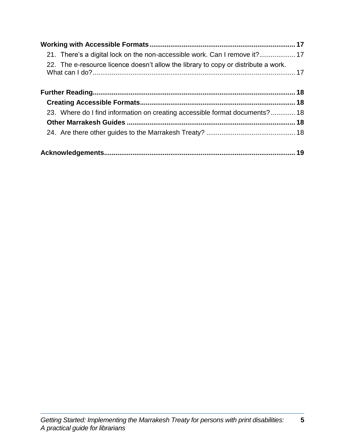| 22. The e-resource licence doesn't allow the library to copy or distribute a work. |  |
|------------------------------------------------------------------------------------|--|
|                                                                                    |  |
|                                                                                    |  |
| 23. Where do I find information on creating accessible format documents? 18        |  |
|                                                                                    |  |
|                                                                                    |  |
|                                                                                    |  |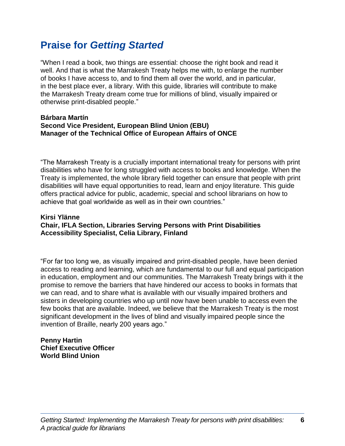# **Praise for** *Getting Started*

"When I read a book, two things are essential: choose the right book and read it well. And that is what the Marrakesh Treaty helps me with, to enlarge the number of books I have access to, and to find them all over the world, and in particular, in the best place ever, a library. With this guide, libraries will contribute to make the Marrakesh Treaty dream come true for millions of blind, visually impaired or otherwise print-disabled people."

#### **Bárbara Martín Second Vice President, European Blind Union (EBU) Manager of the Technical Office of European Affairs of ONCE**

"The Marrakesh Treaty is a crucially important international treaty for persons with print disabilities who have for long struggled with access to books and knowledge. When the Treaty is implemented, the whole library field together can ensure that people with print disabilities will have equal opportunities to read, learn and enjoy literature. This guide offers practical advice for public, academic, special and school librarians on how to achieve that goal worldwide as well as in their own countries."

# **Kirsi Ylänne Chair, IFLA Section, Libraries Serving Persons with Print Disabilities Accessibility Specialist, Celia Library, Finland**

"For far too long we, as visually impaired and print-disabled people, have been denied access to reading and learning, which are fundamental to our full and equal participation in education, employment and our communities. The Marrakesh Treaty brings with it the promise to remove the barriers that have hindered our access to books in formats that we can read, and to share what is available with our visually impaired brothers and sisters in developing countries who up until now have been unable to access even the few books that are available. Indeed, we believe that the Marrakesh Treaty is the most significant development in the lives of blind and visually impaired people since the invention of Braille, nearly 200 years ago."

#### **Penny Hartin Chief Executive Officer World Blind Union**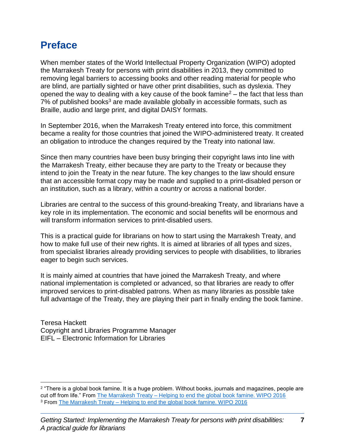# **Preface**

When member states of the World Intellectual Property Organization (WIPO) adopted the Marrakesh Treaty for persons with print disabilities in 2013, they committed to removing legal barriers to accessing books and other reading material for people who are blind, are partially sighted or have other print disabilities, such as dyslexia. They opened the way to dealing with a key cause of the book famine<sup>2</sup> – the fact that less than 7% of published books<sup>3</sup> are made available globally in accessible formats, such as Braille, audio and large print, and digital DAISY formats.

In September 2016, when the Marrakesh Treaty entered into force, this commitment became a reality for those countries that joined the WIPO-administered treaty. It created an obligation to introduce the changes required by the Treaty into national law.

Since then many countries have been busy bringing their copyright laws into line with the Marrakesh Treaty, either because they are party to the Treaty or because they intend to join the Treaty in the near future. The key changes to the law should ensure that an accessible format copy may be made and supplied to a print-disabled person or an institution, such as a library, within a country or across a national border.

Libraries are central to the success of this ground-breaking Treaty, and librarians have a key role in its implementation. The economic and social benefits will be enormous and will transform information services to print-disabled users.

This is a practical guide for librarians on how to start using the Marrakesh Treaty, and how to make full use of their new rights. It is aimed at libraries of all types and sizes, from specialist libraries already providing services to people with disabilities, to libraries eager to begin such services.

It is mainly aimed at countries that have joined the Marrakesh Treaty, and where national implementation is completed or advanced, so that libraries are ready to offer improved services to print-disabled patrons. When as many libraries as possible take full advantage of the Treaty, they are playing their part in finally ending the book famine.

Teresa Hackett Copyright and Libraries Programme Manager EIFL – Electronic Information for Libraries

<sup>2</sup> "There is a global book famine. It is a huge problem. Without books, journals and magazines, people are cut off from life." From The Marrakesh Treaty – [Helping to end the global book famine. WIPO 2016](http://www.wipo.int/edocs/pubdocs/en/wipo_pub_marrakesh_overview.pdf) <sup>3</sup> From The Marrakesh Treaty – [Helping to end the global book famine. WIPO 2016](http://www.wipo.int/edocs/pubdocs/en/wipo_pub_marrakesh_overview.pdf)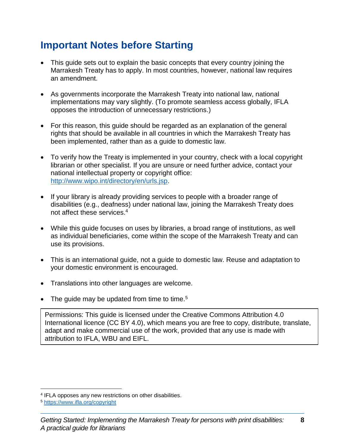# **Important Notes before Starting**

- This guide sets out to explain the basic concepts that every country joining the Marrakesh Treaty has to apply. In most countries, however, national law requires an amendment.
- As governments incorporate the Marrakesh Treaty into national law, national implementations may vary slightly. (To promote seamless access globally, IFLA opposes the introduction of unnecessary restrictions.)
- For this reason, this guide should be regarded as an explanation of the general rights that should be available in all countries in which the Marrakesh Treaty has been implemented, rather than as a guide to domestic law.
- To verify how the Treaty is implemented in your country, check with a local copyright librarian or other specialist. If you are unsure or need further advice, contact your national intellectual property or copyright office: [http://www.wipo.int/directory/en/urls.jsp.](http://www.wipo.int/directory/en/urls.jsp)
- If your library is already providing services to people with a broader range of disabilities (e.g., deafness) under national law, joining the Marrakesh Treaty does not affect these services. 4
- While this guide focuses on uses by libraries, a broad range of institutions, as well as individual beneficiaries, come within the scope of the Marrakesh Treaty and can use its provisions.
- This is an international guide, not a guide to domestic law. Reuse and adaptation to your domestic environment is encouraged.
- Translations into other languages are welcome.
- The guide may be updated from time to time.<sup>5</sup>

Permissions: This guide is licensed under the [Creative Commons Attribution 4.0](http://creativecommons.org/licenses/by/4.0/legalcode)  [International](http://creativecommons.org/licenses/by/4.0/legalcode) licence (CC BY 4.0), which means you are free to copy, distribute, translate, adapt and make commercial use of the work, provided that any use is made with attribution to IFLA, WBU and EIFL.

<sup>4</sup> IFLA opposes any new restrictions on other disabilities.

**<sup>&</sup>lt;sup>5</sup>** <https://www.ifla.org/copyright>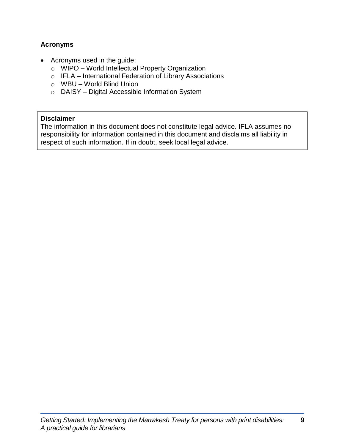# **Acronyms**

- Acronyms used in the guide:
	- o WIPO World Intellectual Property Organization
	- o IFLA International Federation of Library Associations
	- o WBU World Blind Union
	- o DAISY Digital Accessible Information System

#### **Disclaimer**

The information in this document does not constitute legal advice. IFLA assumes no responsibility for information contained in this document and disclaims all liability in respect of such information. If in doubt, seek local legal advice.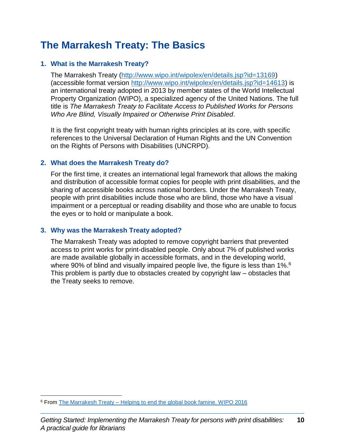# **The Marrakesh Treaty: The Basics**

## **1. What is the Marrakesh Treaty?**

The Marrakesh Treaty [\(http://www.wipo.int/wipolex/en/details.jsp?id=13169\)](http://www.wipo.int/wipolex/en/details.jsp?id=13169) (accessible format version [http://www.wipo.int/wipolex/en/details.jsp?id=14613\)](http://www.wipo.int/wipolex/en/details.jsp?id=14613) is an international treaty adopted in 2013 by member states of the World Intellectual Property Organization (WIPO), a specialized agency of the United Nations. The full title is *The Marrakesh Treaty to Facilitate Access to Published Works for Persons Who Are Blind, Visually Impaired or Otherwise Print Disabled*.

It is the first copyright treaty with human rights principles at its core, with specific references to the Universal Declaration of Human Rights and the UN Convention on the Rights of Persons with Disabilities (UNCRPD).

#### **2. What does the Marrakesh Treaty do?**

For the first time, it creates an international legal framework that allows the making and distribution of accessible format copies for people with print disabilities, and the sharing of accessible books across national borders. Under the Marrakesh Treaty, people with print disabilities include those who are blind, those who have a visual impairment or a perceptual or reading disability and those who are unable to focus the eyes or to hold or manipulate a book.

## **3. Why was the Marrakesh Treaty adopted?**

 $\overline{a}$ 

The Marrakesh Treaty was adopted to remove copyright barriers that prevented access to print works for print-disabled people. Only about 7% of published works are made available globally in accessible formats, and in the developing world, where 90% of blind and visually impaired people live, the figure is less than 1%.<sup>6</sup> This problem is partly due to obstacles created by copyright law – obstacles that the Treaty seeks to remove.

<sup>6</sup> From The Marrakesh Treaty – [Helping to end the global book famine. WIPO 2016](http://www.wipo.int/edocs/pubdocs/en/wipo_pub_marrakesh_overview.pdf)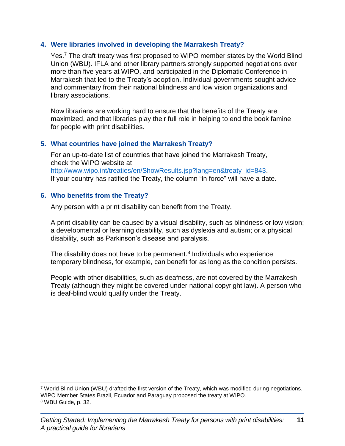## **4. Were libraries involved in developing the Marrakesh Treaty?**

Yes.<sup>7</sup> The draft treaty was first proposed to WIPO member states by the World Blind Union (WBU). IFLA and other library partners strongly supported negotiations over more than five years at WIPO, and participated in the Diplomatic Conference in Marrakesh that led to the Treaty's adoption. Individual governments sought advice and commentary from their national blindness and low vision organizations and library associations.

Now librarians are working hard to ensure that the benefits of the Treaty are maximized, and that libraries play their full role in helping to end the book famine for people with print disabilities.

# **5. What countries have joined the Marrakesh Treaty?**

For an up-to-date list of countries that have joined the Marrakesh Treaty, check the WIPO website at [http://www.wipo.int/treaties/en/ShowResults.jsp?lang=en&treaty\\_id=843.](http://www.wipo.int/treaties/en/ShowResults.jsp?lang=en&treaty_id=843) If your country has ratified the Treaty, the column "in force" will have a date.

## **6. Who benefits from the Treaty?**

 $\overline{a}$ 

Any person with a print disability can benefit from the Treaty.

A print disability can be caused by a visual disability, such as blindness or low vision; a developmental or learning disability, such as dyslexia and autism; or a physical disability, such as Parkinson's disease and paralysis.

The disability does not have to be permanent.<sup>8</sup> Individuals who experience temporary blindness, for example, can benefit for as long as the condition persists.

People with other disabilities, such as deafness, are not covered by the Marrakesh Treaty (although they might be covered under national copyright law). A person who is deaf-blind would qualify under the Treaty.

<sup>7</sup> World Blind Union (WBU) drafted the first version of the Treaty, which was modified during negotiations. WIPO Member States Brazil, Ecuador and Paraguay proposed the treaty at WIPO. <sup>8</sup> WBU Guide, p. 32.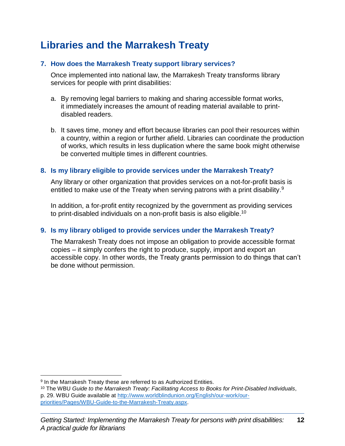# **Libraries and the Marrakesh Treaty**

# **7. How does the Marrakesh Treaty support library services?**

Once implemented into national law, the Marrakesh Treaty transforms library services for people with print disabilities:

- a. By removing legal barriers to making and sharing accessible format works, it immediately increases the amount of reading material available to printdisabled readers.
- b. It saves time, money and effort because libraries can pool their resources within a country, within a region or further afield. Libraries can coordinate the production of works, which results in less duplication where the same book might otherwise be converted multiple times in different countries.

# **8. Is my library eligible to provide services under the Marrakesh Treaty?**

Any library or other organization that provides services on a not-for-profit basis is entitled to make use of the Treaty when serving patrons with a print disability.<sup>9</sup>

In addition, a for-profit entity recognized by the government as providing services to print-disabled individuals on a non-profit basis is also eligible.<sup>10</sup>

# **9. Is my library obliged to provide services under the Marrakesh Treaty?**

The Marrakesh Treaty does not impose an obligation to provide accessible format copies – it simply confers the right to produce, supply, import and export an accessible copy. In other words, the Treaty grants permission to do things that can't be done without permission.

<sup>&</sup>lt;sup>9</sup> In the Marrakesh Treaty these are referred to as Authorized Entities.

<sup>10</sup> The WBU *Guide to the Marrakesh Treaty: Facilitating Access to Books for Print-Disabled Individuals*, p. 29. WBU Guide available at [http://www.worldblindunion.org/English/our-work/our](http://www.worldblindunion.org/English/our-work/our-priorities/Pages/WBU-Guide-to-the-Marrakesh-Treaty.aspx)[priorities/Pages/WBU-Guide-to-the-Marrakesh-Treaty.aspx.](http://www.worldblindunion.org/English/our-work/our-priorities/Pages/WBU-Guide-to-the-Marrakesh-Treaty.aspx)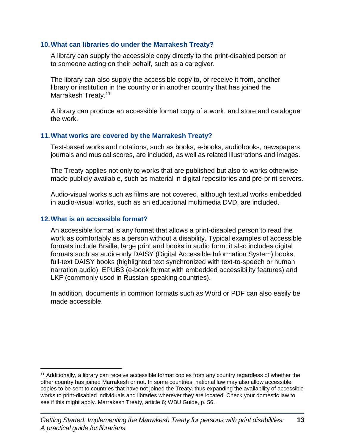#### **10.What can libraries do under the Marrakesh Treaty?**

A library can supply the accessible copy directly to the print-disabled person or to someone acting on their behalf, such as a caregiver.

The library can also supply the accessible copy to, or receive it from, another library or institution in the country or in another country that has joined the Marrakesh Treaty.<sup>11</sup>

A library can produce an accessible format copy of a work, and store and catalogue the work.

## **11.What works are covered by the Marrakesh Treaty?**

Text-based works and notations, such as books, e-books, audiobooks, newspapers, journals and musical scores, are included, as well as related illustrations and images.

The Treaty applies not only to works that are published but also to works otherwise made publicly available, such as material in digital repositories and pre-print servers.

Audio-visual works such as films are not covered, although textual works embedded in audio-visual works, such as an educational multimedia DVD, are included.

## **12.What is an accessible format?**

 $\overline{a}$ 

An accessible format is any format that allows a print-disabled person to read the work as comfortably as a person without a disability. Typical examples of accessible formats include Braille, large print and books in audio form; it also includes digital formats such as audio-only DAISY (Digital Accessible Information System) books, full-text DAISY books (highlighted text synchronized with text-to-speech or human narration audio), EPUB3 (e-book format with embedded accessibility features) and LKF (commonly used in Russian-speaking countries).

In addition, documents in common formats such as Word or PDF can also easily be made accessible.

<sup>11</sup> Additionally, a library can receive accessible format copies from any country regardless of whether the other country has joined Marrakesh or not. In some countries, national law may also allow accessible copies to be sent to countries that have not joined the Treaty, thus expanding the availability of accessible works to print-disabled individuals and libraries wherever they are located. Check your domestic law to see if this might apply. Marrakesh Treaty, article 6; WBU Guide, p. 56.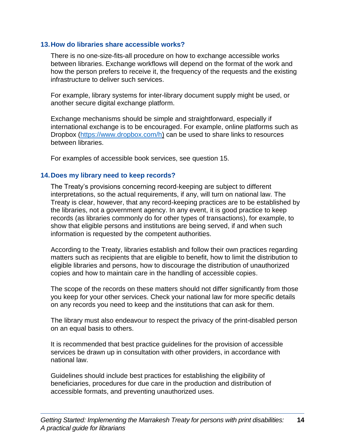#### **13.How do libraries share accessible works?**

There is no one-size-fits-all procedure on how to exchange accessible works between libraries. Exchange workflows will depend on the format of the work and how the person prefers to receive it, the frequency of the requests and the existing infrastructure to deliver such services.

For example, library systems for inter-library document supply might be used, or another secure digital exchange platform.

Exchange mechanisms should be simple and straightforward, especially if international exchange is to be encouraged. For example, online platforms such as Dropbox [\(https://www.dropbox.com/h\)](https://www.dropbox.com/h) can be used to share links to resources between libraries.

For examples of accessible book services, see question 15.

## **14.Does my library need to keep records?**

The Treaty's provisions concerning record-keeping are subject to different interpretations, so the actual requirements, if any, will turn on national law. The Treaty is clear, however, that any record-keeping practices are to be established by the libraries, not a government agency. In any event, it is good practice to keep records (as libraries commonly do for other types of transactions), for example, to show that eligible persons and institutions are being served, if and when such information is requested by the competent authorities.

According to the Treaty, libraries establish and follow their own practices regarding matters such as recipients that are eligible to benefit, how to limit the distribution to eligible libraries and persons, how to discourage the distribution of unauthorized copies and how to maintain care in the handling of accessible copies.

The scope of the records on these matters should not differ significantly from those you keep for your other services. Check your national law for more specific details on any records you need to keep and the institutions that can ask for them.

The library must also endeavour to respect the privacy of the print-disabled person on an equal basis to others.

It is recommended that best practice guidelines for the provision of accessible services be drawn up in consultation with other providers, in accordance with national law.

Guidelines should include best practices for establishing the eligibility of beneficiaries, procedures for due care in the production and distribution of accessible formats, and preventing unauthorized uses.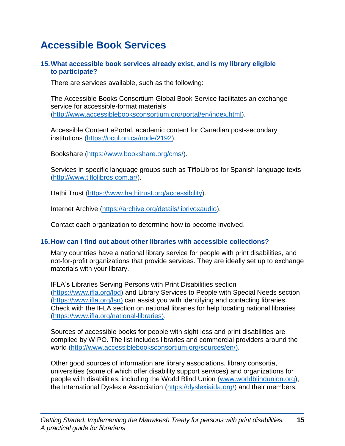# **Accessible Book Services**

## **15.What accessible book services already exist, and is my library eligible to participate?**

There are services available, such as the following:

The Accessible Books Consortium Global Book Service facilitates an exchange service for accessible-format materials [\(http://www.accessiblebooksconsortium.org/portal/en/index.html\)](http://www.accessiblebooksconsortium.org/portal/en/index.html).

Accessible Content ePortal, academic content for Canadian post-secondary institutions [\(https://ocul.on.ca/node/2192\)](https://ocul.on.ca/node/2192).

Bookshare [\(https://www.bookshare.org/cms/\)](https://www.bookshare.org/cms/).

Services in specific language groups such as TifloLibros for Spanish-language texts [\(http://www.tiflolibros.com.ar/\)](http://www.tiflolibros.com.ar/).

Hathi Trust [\(https://www.hathitrust.org/accessibility\)](https://www.hathitrust.org/accessibility).

Internet Archive [\(https://archive.org/details/librivoxaudio\)](https://archive.org/details/librivoxaudio).

Contact each organization to determine how to become involved.

## **16.How can I find out about other libraries with accessible collections?**

Many countries have a national library service for people with print disabilities, and not-for-profit organizations that provide services. They are ideally set up to exchange materials with your library.

IFLA's Libraries Serving Persons with Print Disabilities section [\(https://www.ifla.org/lpd\)](https://www.ifla.org/lpd) and Library Services to People with Special Needs section [\(https://www.ifla.org/lsn\)](https://www.ifla.org/lsn) can assist you with identifying and contacting libraries. Check with the IFLA section on national libraries for help locating national libraries [\(https://www.ifla.org/national-libraries\)](https://www.ifla.org/national-libraries).

Sources of accessible books for people with sight loss and print disabilities are compiled by WIPO. The list includes libraries and commercial providers around the world [\(http://www.accessiblebooksconsortium.org/sources/en/\)](http://www.accessiblebooksconsortium.org/sources/en/).

Other good sources of information are library associations, library consortia, universities (some of which offer disability support services) and organizations for people with disabilities, including the World Blind Union [\(www.worldblindunion.org\)](http://www.worldblindunion.org/), the International Dyslexia Association [\(https://dyslexiaida.org/\)](https://dyslexiaida.org/) and their members.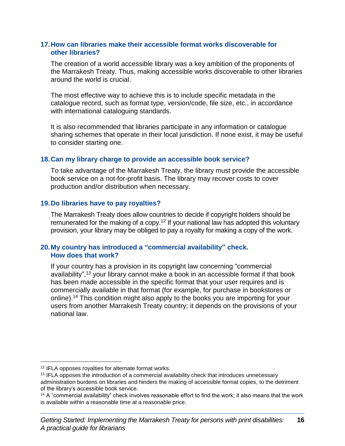#### **17.How can libraries make their accessible format works discoverable for other libraries?**

The creation of a world accessible library was a key ambition of the proponents of the Marrakesh Treaty. Thus, making accessible works discoverable to other libraries around the world is crucial.

The most effective way to achieve this is to include specific metadata in the catalogue record, such as format type, version/code, file size, etc., in accordance with international cataloguing standards.

It is also recommended that libraries participate in any information or catalogue sharing schemes that operate in their local jurisdiction. If none exist, it may be useful to consider starting one.

## **18.Can my library charge to provide an accessible book service?**

To take advantage of the Marrakesh Treaty, the library must provide the accessible book service on a not-for-profit basis. The library may recover costs to cover production and/or distribution when necessary.

## **19.Do libraries have to pay royalties?**

The Marrakesh Treaty does allow countries to decide if copyright holders should be remunerated for the making of a copy.<sup>12</sup> If your national law has adopted this voluntary provision, your library may be obliged to pay a royalty for making a copy of the work.

## **20.My country has introduced a "commercial availability" check. How does that work?**

If your country has a provision in its copyright law concerning "commercial availability", <sup>13</sup> your library cannot make a book in an accessible format if that book has been made accessible in the specific format that your user requires and is commercially available in that format (for example, for purchase in bookstores or online). <sup>14</sup> This condition might also apply to the books you are importing for your users from another Marrakesh Treaty country; it depends on the provisions of your national law.

<sup>12</sup> IFLA opposes royalties for alternate format works.

<sup>&</sup>lt;sup>13</sup> IFLA opposes the introduction of a commercial availability check that introduces unnecessary administration burdens on libraries and hinders the making of accessible format copies, to the detriment of the library's accessible book service.

<sup>&</sup>lt;sup>14</sup> A "commercial availability" check involves reasonable effort to find the work; it also means that the work is available within a reasonable time at a reasonable price.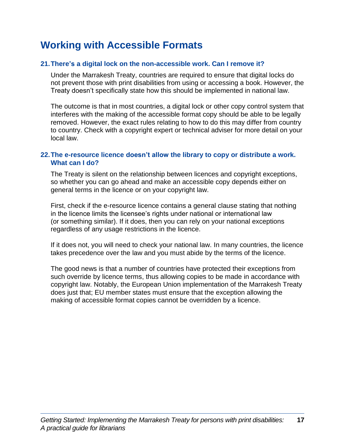# **Working with Accessible Formats**

## **21.There's a digital lock on the non-accessible work. Can I remove it?**

Under the Marrakesh Treaty, countries are required to ensure that digital locks do not prevent those with print disabilities from using or accessing a book. However, the Treaty doesn't specifically state how this should be implemented in national law.

The outcome is that in most countries, a digital lock or other copy control system that interferes with the making of the accessible format copy should be able to be legally removed. However, the exact rules relating to how to do this may differ from country to country. Check with a copyright expert or technical adviser for more detail on your local law.

#### **22.The e-resource licence doesn't allow the library to copy or distribute a work. What can I do?**

The Treaty is silent on the relationship between licences and copyright exceptions, so whether you can go ahead and make an accessible copy depends either on general terms in the licence or on your copyright law.

First, check if the e-resource licence contains a general clause stating that nothing in the licence limits the licensee's rights under national or international law (or something similar). If it does, then you can rely on your national exceptions regardless of any usage restrictions in the licence.

If it does not, you will need to check your national law. In many countries, the licence takes precedence over the law and you must abide by the terms of the licence.

The good news is that a number of countries have protected their exceptions from such override by licence terms, thus allowing copies to be made in accordance with copyright law. Notably, the European Union implementation of the Marrakesh Treaty does just that; EU member states must ensure that the exception allowing the making of accessible format copies cannot be overridden by a licence.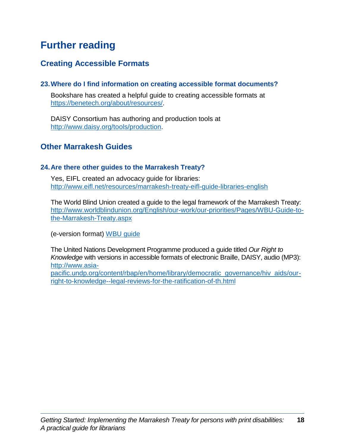# **Further reading**

# **Creating Accessible Formats**

## **23.Where do I find information on creating accessible format documents?**

Bookshare has created a helpful guide to creating accessible formats at [https://benetech.org/about/resources/.](https://benetech.org/about/resources/)

DAISY Consortium has authoring and production tools at [http://www.daisy.org/tools/production.](http://www.daisy.org/tools/production)

# **Other Marrakesh Guides**

#### **24.Are there other guides to the Marrakesh Treaty?**

Yes, EIFL created an advocacy guide for libraries: <http://www.eifl.net/resources/marrakesh-treaty-eifl-guide-libraries-english>

The World Blind Union created a guide to the legal framework of the Marrakesh Treaty: [http://www.worldblindunion.org/English/our-work/our-priorities/Pages/WBU-Guide-to](http://www.worldblindunion.org/English/our-work/our-priorities/Pages/WBU-Guide-to-the-Marrakesh-Treaty.aspx)[the-Marrakesh-Treaty.aspx](http://www.worldblindunion.org/English/our-work/our-priorities/Pages/WBU-Guide-to-the-Marrakesh-Treaty.aspx)

(e-version format) [WBU guide](http://www.worldblindunion.org/English/our-work/our-priorities/Pages/WBU-Guide-to-the-Marrakesh-Treaty.aspx)

The United Nations Development Programme produced a guide titled *Our Right to Knowledge* with versions in accessible formats of electronic Braille, DAISY, audio (MP3): [http://www.asia-](http://www.asia-pacific.undp.org/content/rbap/en/home/library/democratic_governance/hiv_aids/our-right-to-knowledge--legal-reviews-for-the-ratification-of-th.html)

[pacific.undp.org/content/rbap/en/home/library/democratic\\_governance/hiv\\_aids/our](http://www.asia-pacific.undp.org/content/rbap/en/home/library/democratic_governance/hiv_aids/our-right-to-knowledge--legal-reviews-for-the-ratification-of-th.html)[right-to-knowledge--legal-reviews-for-the-ratification-of-th.html](http://www.asia-pacific.undp.org/content/rbap/en/home/library/democratic_governance/hiv_aids/our-right-to-knowledge--legal-reviews-for-the-ratification-of-th.html)